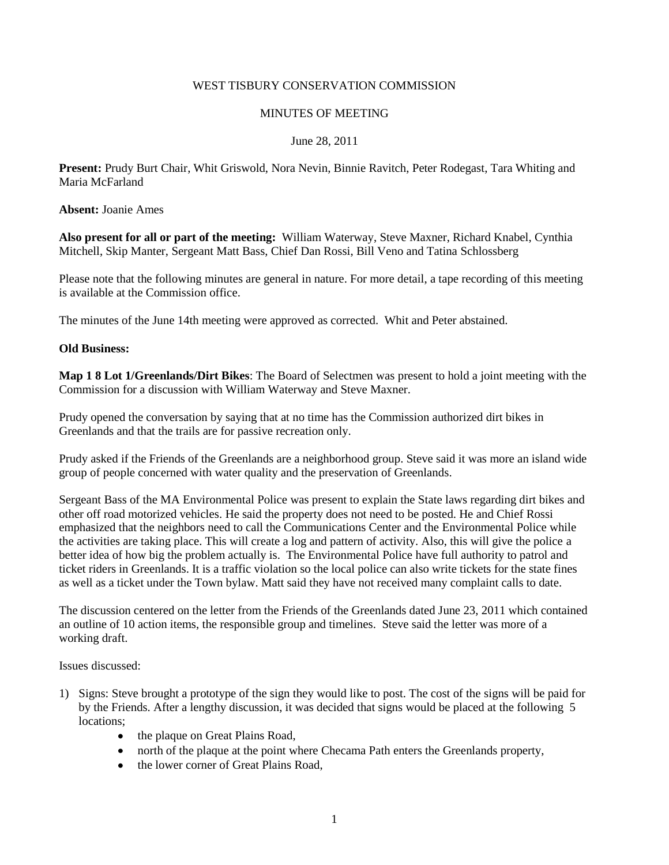## WEST TISBURY CONSERVATION COMMISSION

### MINUTES OF MEETING

## June 28, 2011

**Present:** Prudy Burt Chair, Whit Griswold, Nora Nevin, Binnie Ravitch, Peter Rodegast, Tara Whiting and Maria McFarland

**Absent:** Joanie Ames

**Also present for all or part of the meeting:** William Waterway, Steve Maxner, Richard Knabel, Cynthia Mitchell, Skip Manter, Sergeant Matt Bass, Chief Dan Rossi, Bill Veno and Tatina Schlossberg

Please note that the following minutes are general in nature. For more detail, a tape recording of this meeting is available at the Commission office.

The minutes of the June 14th meeting were approved as corrected. Whit and Peter abstained.

### **Old Business:**

**Map 1 8 Lot 1/Greenlands/Dirt Bikes**: The Board of Selectmen was present to hold a joint meeting with the Commission for a discussion with William Waterway and Steve Maxner.

Prudy opened the conversation by saying that at no time has the Commission authorized dirt bikes in Greenlands and that the trails are for passive recreation only.

Prudy asked if the Friends of the Greenlands are a neighborhood group. Steve said it was more an island wide group of people concerned with water quality and the preservation of Greenlands.

Sergeant Bass of the MA Environmental Police was present to explain the State laws regarding dirt bikes and other off road motorized vehicles. He said the property does not need to be posted. He and Chief Rossi emphasized that the neighbors need to call the Communications Center and the Environmental Police while the activities are taking place. This will create a log and pattern of activity. Also, this will give the police a better idea of how big the problem actually is. The Environmental Police have full authority to patrol and ticket riders in Greenlands. It is a traffic violation so the local police can also write tickets for the state fines as well as a ticket under the Town bylaw. Matt said they have not received many complaint calls to date.

The discussion centered on the letter from the Friends of the Greenlands dated June 23, 2011 which contained an outline of 10 action items, the responsible group and timelines. Steve said the letter was more of a working draft.

Issues discussed:

- 1) Signs: Steve brought a prototype of the sign they would like to post. The cost of the signs will be paid for by the Friends. After a lengthy discussion, it was decided that signs would be placed at the following 5 locations;
	- the plaque on Great Plains Road,
	- north of the plaque at the point where Checama Path enters the Greenlands property,
	- the lower corner of Great Plains Road.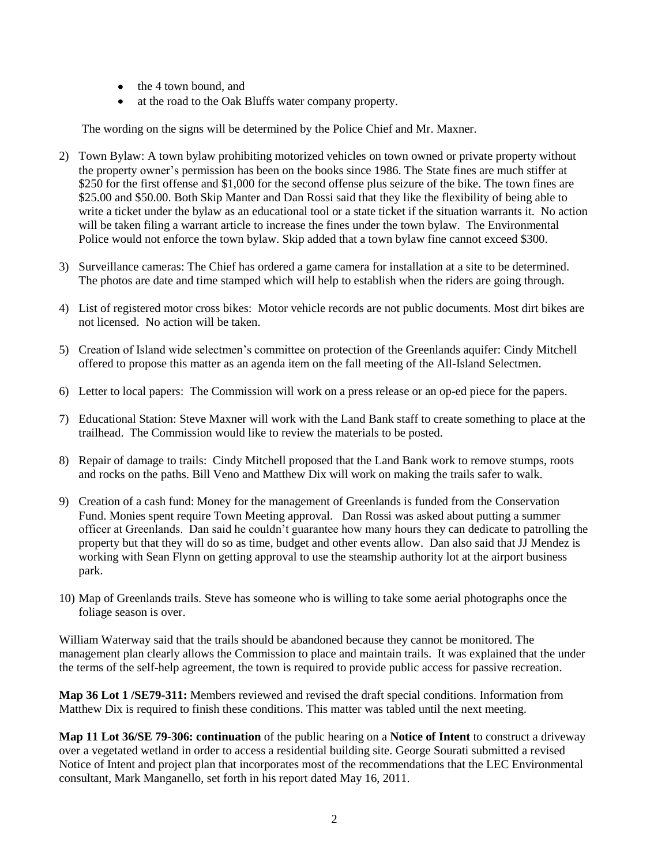- the 4 town bound, and
- at the road to the Oak Bluffs water company property.

The wording on the signs will be determined by the Police Chief and Mr. Maxner.

- 2) Town Bylaw: A town bylaw prohibiting motorized vehicles on town owned or private property without the property owner's permission has been on the books since 1986. The State fines are much stiffer at \$250 for the first offense and \$1,000 for the second offense plus seizure of the bike. The town fines are \$25.00 and \$50.00. Both Skip Manter and Dan Rossi said that they like the flexibility of being able to write a ticket under the bylaw as an educational tool or a state ticket if the situation warrants it. No action will be taken filing a warrant article to increase the fines under the town bylaw. The Environmental Police would not enforce the town bylaw. Skip added that a town bylaw fine cannot exceed \$300.
- 3) Surveillance cameras: The Chief has ordered a game camera for installation at a site to be determined. The photos are date and time stamped which will help to establish when the riders are going through.
- 4) List of registered motor cross bikes: Motor vehicle records are not public documents. Most dirt bikes are not licensed. No action will be taken.
- 5) Creation of Island wide selectmen's committee on protection of the Greenlands aquifer: Cindy Mitchell offered to propose this matter as an agenda item on the fall meeting of the All-Island Selectmen.
- 6) Letter to local papers: The Commission will work on a press release or an op-ed piece for the papers.
- 7) Educational Station: Steve Maxner will work with the Land Bank staff to create something to place at the trailhead. The Commission would like to review the materials to be posted.
- 8) Repair of damage to trails: Cindy Mitchell proposed that the Land Bank work to remove stumps, roots and rocks on the paths. Bill Veno and Matthew Dix will work on making the trails safer to walk.
- 9) Creation of a cash fund: Money for the management of Greenlands is funded from the Conservation Fund. Monies spent require Town Meeting approval. Dan Rossi was asked about putting a summer officer at Greenlands. Dan said he couldn't guarantee how many hours they can dedicate to patrolling the property but that they will do so as time, budget and other events allow. Dan also said that JJ Mendez is working with Sean Flynn on getting approval to use the steamship authority lot at the airport business park.
- 10) Map of Greenlands trails. Steve has someone who is willing to take some aerial photographs once the foliage season is over.

William Waterway said that the trails should be abandoned because they cannot be monitored. The management plan clearly allows the Commission to place and maintain trails. It was explained that the under the terms of the self-help agreement, the town is required to provide public access for passive recreation.

**Map 36 Lot 1 /SE79-311:** Members reviewed and revised the draft special conditions. Information from Matthew Dix is required to finish these conditions. This matter was tabled until the next meeting.

**Map 11 Lot 36/SE 79-306: continuation** of the public hearing on a **Notice of Intent** to construct a driveway over a vegetated wetland in order to access a residential building site. George Sourati submitted a revised Notice of Intent and project plan that incorporates most of the recommendations that the LEC Environmental consultant, Mark Manganello, set forth in his report dated May 16, 2011.